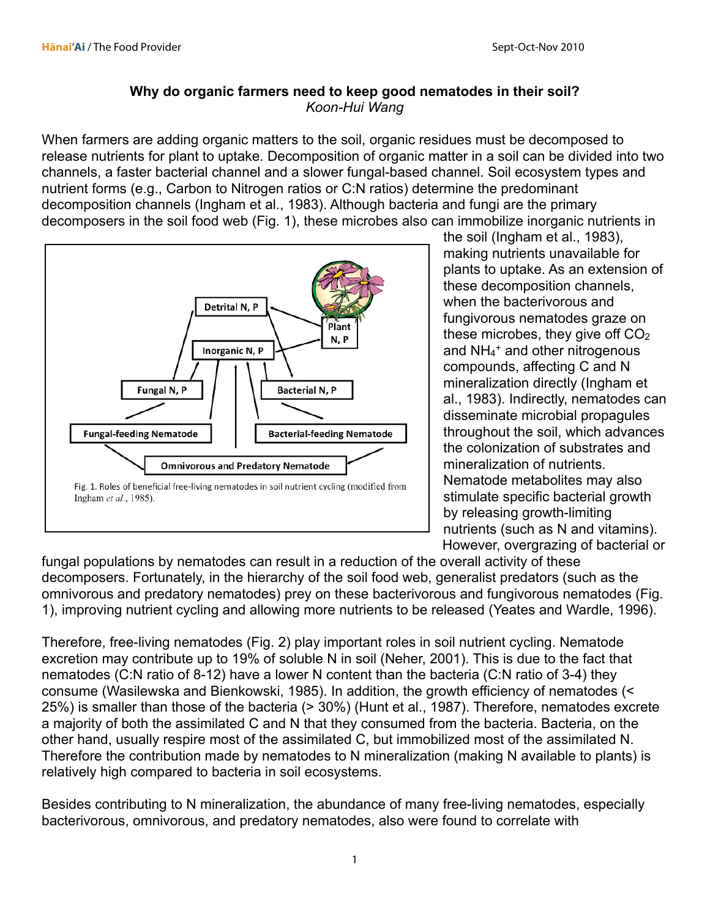## **Why do organic farmers need to keep good nematodes in their soil?** *Koon-Hui Wang*

When farmers are adding organic matters to the soil, organic residues must be decomposed to release nutrients for plant to uptake. Decomposition of organic matter in a soil can be divided into two channels, a faster bacterial channel and a slower fungal-based channel. Soil ecosystem types and nutrient forms (e.g., Carbon to Nitrogen ratios or C:N ratios) determine the predominant decomposition channels (Ingham et al., 1983). Although bacteria and fungi are the primary decomposers in the soil food web (Fig. 1), these microbes also can immobilize inorganic nutrients in



the soil (Ingham et al., 1983), making nutrients unavailable for plants to uptake. As an extension of these decomposition channels, when the bacterivorous and fungivorous nematodes graze on these microbes, they give off  $CO<sub>2</sub>$ and NH<sub>4</sub><sup>+</sup> and other nitrogenous compounds, affecting C and N mineralization directly (Ingham et al., 1983). Indirectly, nematodes can disseminate microbial propagules throughout the soil, which advances the colonization of substrates and mineralization of nutrients. Nematode metabolites may also stimulate specific bacterial growth by releasing growth-limiting nutrients (such as N and vitamins). However, overgrazing of bacterial or

fungal populations by nematodes can result in a reduction of the overall activity of these decomposers. Fortunately, in the hierarchy of the soil food web, generalist predators (such as the omnivorous and predatory nematodes) prey on these bacterivorous and fungivorous nematodes (Fig. 1), improving nutrient cycling and allowing more nutrients to be released (Yeates and Wardle, 1996).

Therefore, free-living nematodes (Fig. 2) play important roles in soil nutrient cycling. Nematode excretion may contribute up to 19% of soluble N in soil (Neher, 2001). This is due to the fact that nematodes (C:N ratio of 8-12) have a lower N content than the bacteria (C:N ratio of 3-4) they consume (Wasilewska and Bienkowski, 1985). In addition, the growth efficiency of nematodes (< 25%) is smaller than those of the bacteria (> 30%) (Hunt et al., 1987). Therefore, nematodes excrete a majority of both the assimilated C and N that they consumed from the bacteria. Bacteria, on the other hand, usually respire most of the assimilated C, but immobilized most of the assimilated N. Therefore the contribution made by nematodes to N mineralization (making N available to plants) is relatively high compared to bacteria in soil ecosystems.

Besides contributing to N mineralization, the abundance of many free-living nematodes, especially bacterivorous, omnivorous, and predatory nematodes, also were found to correlate with